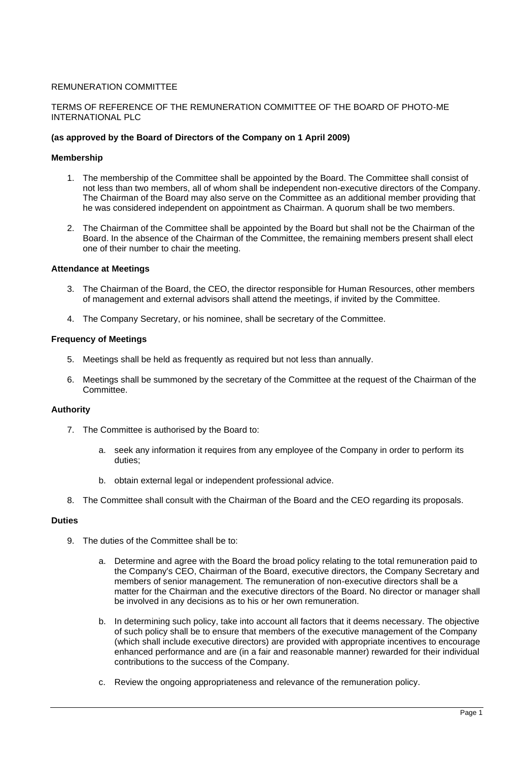# REMUNERATION COMMITTEE

## TERMS OF REFERENCE OF THE REMUNERATION COMMITTEE OF THE BOARD OF PHOTO-ME INTERNATIONAL PLC

## **(as approved by the Board of Directors of the Company on 1 April 2009)**

## **Membership**

- 1. The membership of the Committee shall be appointed by the Board. The Committee shall consist of not less than two members, all of whom shall be independent non-executive directors of the Company. The Chairman of the Board may also serve on the Committee as an additional member providing that he was considered independent on appointment as Chairman. A quorum shall be two members.
- 2. The Chairman of the Committee shall be appointed by the Board but shall not be the Chairman of the Board. In the absence of the Chairman of the Committee, the remaining members present shall elect one of their number to chair the meeting.

#### **Attendance at Meetings**

- 3. The Chairman of the Board, the CEO, the director responsible for Human Resources, other members of management and external advisors shall attend the meetings, if invited by the Committee.
- 4. The Company Secretary, or his nominee, shall be secretary of the Committee.

#### **Frequency of Meetings**

- 5. Meetings shall be held as frequently as required but not less than annually.
- 6. Meetings shall be summoned by the secretary of the Committee at the request of the Chairman of the Committee.

#### **Authority**

- 7. The Committee is authorised by the Board to:
	- a. seek any information it requires from any employee of the Company in order to perform its duties;
	- b. obtain external legal or independent professional advice.
- 8. The Committee shall consult with the Chairman of the Board and the CEO regarding its proposals.

#### **Duties**

- 9. The duties of the Committee shall be to:
	- a. Determine and agree with the Board the broad policy relating to the total remuneration paid to the Company's CEO, Chairman of the Board, executive directors, the Company Secretary and members of senior management. The remuneration of non-executive directors shall be a matter for the Chairman and the executive directors of the Board. No director or manager shall be involved in any decisions as to his or her own remuneration.
	- b. In determining such policy, take into account all factors that it deems necessary. The objective of such policy shall be to ensure that members of the executive management of the Company (which shall include executive directors) are provided with appropriate incentives to encourage enhanced performance and are (in a fair and reasonable manner) rewarded for their individual contributions to the success of the Company.
	- c. Review the ongoing appropriateness and relevance of the remuneration policy.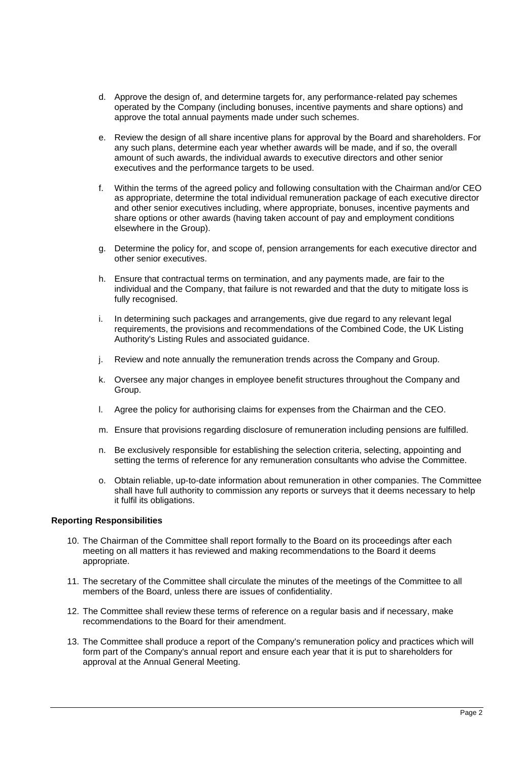- d. Approve the design of, and determine targets for, any performance-related pay schemes operated by the Company (including bonuses, incentive payments and share options) and approve the total annual payments made under such schemes.
- e. Review the design of all share incentive plans for approval by the Board and shareholders. For any such plans, determine each year whether awards will be made, and if so, the overall amount of such awards, the individual awards to executive directors and other senior executives and the performance targets to be used.
- f. Within the terms of the agreed policy and following consultation with the Chairman and/or CEO as appropriate, determine the total individual remuneration package of each executive director and other senior executives including, where appropriate, bonuses, incentive payments and share options or other awards (having taken account of pay and employment conditions elsewhere in the Group).
- g. Determine the policy for, and scope of, pension arrangements for each executive director and other senior executives.
- h. Ensure that contractual terms on termination, and any payments made, are fair to the individual and the Company, that failure is not rewarded and that the duty to mitigate loss is fully recognised.
- i. In determining such packages and arrangements, give due regard to any relevant legal requirements, the provisions and recommendations of the Combined Code, the UK Listing Authority's Listing Rules and associated guidance.
- j. Review and note annually the remuneration trends across the Company and Group.
- k. Oversee any major changes in employee benefit structures throughout the Company and Group.
- l. Agree the policy for authorising claims for expenses from the Chairman and the CEO.
- m. Ensure that provisions regarding disclosure of remuneration including pensions are fulfilled.
- n. Be exclusively responsible for establishing the selection criteria, selecting, appointing and setting the terms of reference for any remuneration consultants who advise the Committee.
- o. Obtain reliable, up-to-date information about remuneration in other companies. The Committee shall have full authority to commission any reports or surveys that it deems necessary to help it fulfil its obligations.

# **Reporting Responsibilities**

- 10. The Chairman of the Committee shall report formally to the Board on its proceedings after each meeting on all matters it has reviewed and making recommendations to the Board it deems appropriate.
- 11. The secretary of the Committee shall circulate the minutes of the meetings of the Committee to all members of the Board, unless there are issues of confidentiality.
- 12. The Committee shall review these terms of reference on a regular basis and if necessary, make recommendations to the Board for their amendment.
- 13. The Committee shall produce a report of the Company's remuneration policy and practices which will form part of the Company's annual report and ensure each year that it is put to shareholders for approval at the Annual General Meeting.